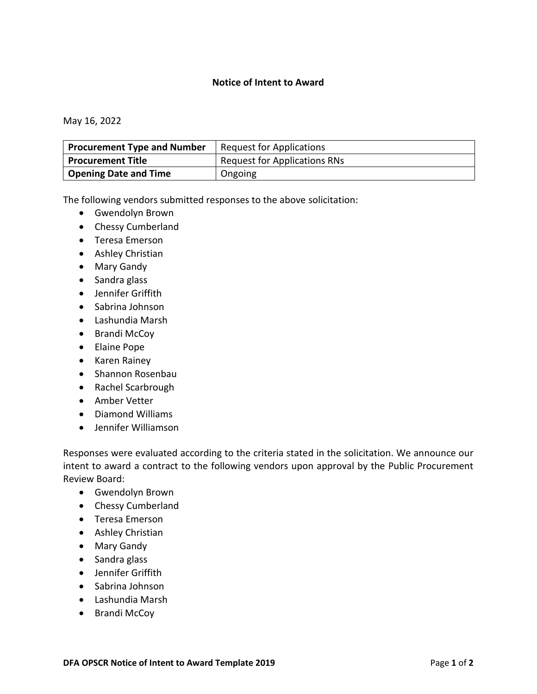## **Notice of Intent to Award**

May 16, 2022

| <b>Procurement Type and Number</b> | <b>Request for Applications</b> |
|------------------------------------|---------------------------------|
| Procurement Title                  | Request for Applications RNs    |
| <sup>1</sup> Opening Date and Time | Ongoing                         |

The following vendors submitted responses to the above solicitation:

- Gwendolyn Brown
- Chessy Cumberland
- Teresa Emerson
- Ashley Christian
- Mary Gandy
- Sandra glass
- Jennifer Griffith
- Sabrina Johnson
- Lashundia Marsh
- Brandi McCoy
- Elaine Pope
- Karen Rainey
- Shannon Rosenbau
- Rachel Scarbrough
- Amber Vetter
- Diamond Williams
- Jennifer Williamson

Responses were evaluated according to the criteria stated in the solicitation. We announce our intent to award a contract to the following vendors upon approval by the Public Procurement Review Board:

- Gwendolyn Brown
- Chessy Cumberland
- Teresa Emerson
- Ashley Christian
- Mary Gandy
- Sandra glass
- Jennifer Griffith
- Sabrina Johnson
- Lashundia Marsh
- Brandi McCoy